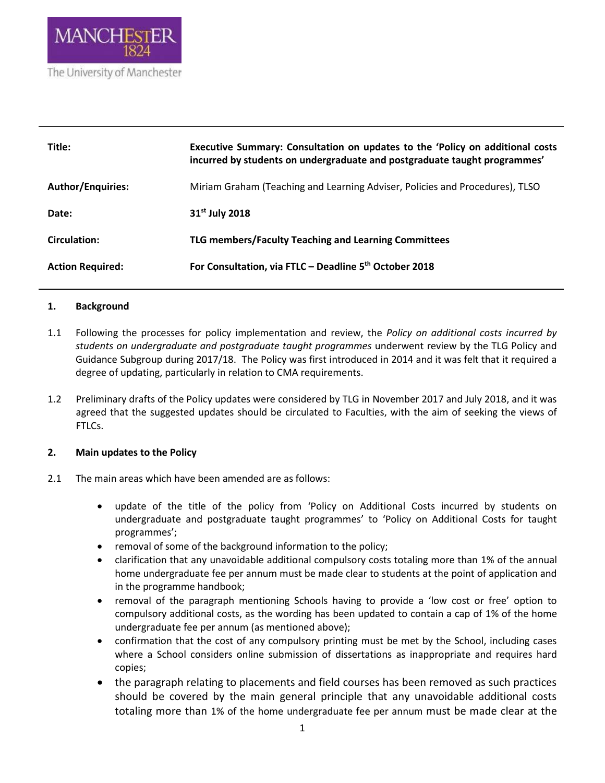

| Title:                   | Executive Summary: Consultation on updates to the 'Policy on additional costs<br>incurred by students on undergraduate and postgraduate taught programmes' |
|--------------------------|------------------------------------------------------------------------------------------------------------------------------------------------------------|
| <b>Author/Enquiries:</b> | Miriam Graham (Teaching and Learning Adviser, Policies and Procedures), TLSO                                                                               |
| Date:                    | 31 <sup>st</sup> July 2018                                                                                                                                 |
| Circulation:             | TLG members/Faculty Teaching and Learning Committees                                                                                                       |
| <b>Action Required:</b>  | For Consultation, via FTLC - Deadline 5 <sup>th</sup> October 2018                                                                                         |

### **1. Background**

- 1.1 Following the processes for policy implementation and review, the *Policy on additional costs incurred by students on undergraduate and postgraduate taught programmes* underwent review by the TLG Policy and Guidance Subgroup during 2017/18. The Policy was first introduced in 2014 and it was felt that it required a degree of updating, particularly in relation to CMA requirements.
- 1.2 Preliminary drafts of the Policy updates were considered by TLG in November 2017 and July 2018, and it was agreed that the suggested updates should be circulated to Faculties, with the aim of seeking the views of FTLCs.

### **2. Main updates to the Policy**

- 2.1 The main areas which have been amended are as follows:
	- update of the title of the policy from 'Policy on Additional Costs incurred by students on undergraduate and postgraduate taught programmes' to 'Policy on Additional Costs for taught programmes';
	- removal of some of the background information to the policy;
	- clarification that any unavoidable additional compulsory costs totaling more than 1% of the annual home undergraduate fee per annum must be made clear to students at the point of application and in the programme handbook;
	- removal of the paragraph mentioning Schools having to provide a 'low cost or free' option to compulsory additional costs, as the wording has been updated to contain a cap of 1% of the home undergraduate fee per annum (as mentioned above);
	- confirmation that the cost of any compulsory printing must be met by the School, including cases where a School considers online submission of dissertations as inappropriate and requires hard copies;
	- the paragraph relating to placements and field courses has been removed as such practices should be covered by the main general principle that any unavoidable additional costs totaling more than 1% of the home undergraduate fee per annum must be made clear at the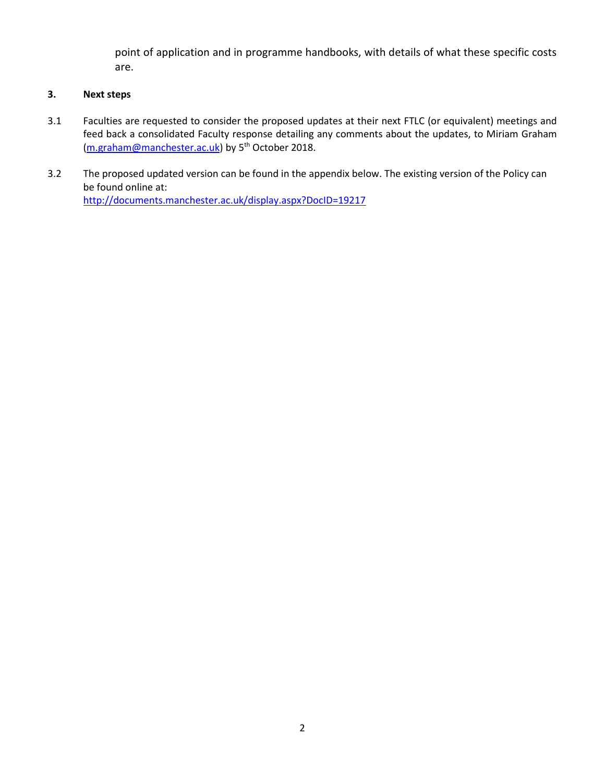point of application and in programme handbooks, with details of what these specific costs are.

# **3. Next steps**

- 3.1 Faculties are requested to consider the proposed updates at their next FTLC (or equivalent) meetings and feed back a consolidated Faculty response detailing any comments about the updates, to Miriam Graham [\(m.graham@manchester.ac.uk\)](mailto:m.graham@manchester.ac.uk) by 5<sup>th</sup> October 2018.
- 3.2 The proposed updated version can be found in the appendix below. The existing version of the Policy can be found online at: <http://documents.manchester.ac.uk/display.aspx?DocID=19217>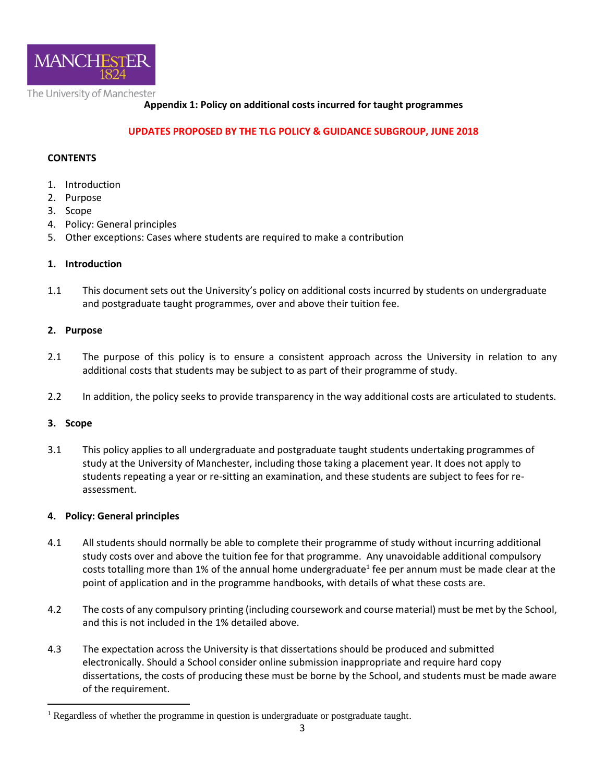

# **Appendix 1: Policy on additional costs incurred for taught programmes**

### **UPDATES PROPOSED BY THE TLG POLICY & GUIDANCE SUBGROUP, JUNE 2018**

### **CONTENTS**

- 1. Introduction
- 2. Purpose
- 3. Scope
- 4. Policy: General principles
- 5. Other exceptions: Cases where students are required to make a contribution

### **1. Introduction**

1.1 This document sets out the University's policy on additional costs incurred by students on undergraduate and postgraduate taught programmes, over and above their tuition fee.

### **2. Purpose**

- 2.1 The purpose of this policy is to ensure a consistent approach across the University in relation to any additional costs that students may be subject to as part of their programme of study.
- 2.2 In addition, the policy seeks to provide transparency in the way additional costs are articulated to students.

### **3. Scope**

3.1 This policy applies to all undergraduate and postgraduate taught students undertaking programmes of study at the University of Manchester, including those taking a placement year. It does not apply to students repeating a year or re-sitting an examination, and these students are subject to fees for reassessment.

### **4. Policy: General principles**

- 4.1 All students should normally be able to complete their programme of study without incurring additional study costs over and above the tuition fee for that programme. Any unavoidable additional compulsory costs totalling more than 1% of the annual home undergraduate<sup>1</sup> fee per annum must be made clear at the point of application and in the programme handbooks, with details of what these costs are.
- 4.2 The costs of any compulsory printing (including coursework and course material) must be met by the School, and this is not included in the 1% detailed above.
- 4.3 The expectation across the University is that dissertations should be produced and submitted electronically. Should a School consider online submission inappropriate and require hard copy dissertations, the costs of producing these must be borne by the School, and students must be made aware of the requirement.

 $\overline{a}$ <sup>1</sup> Regardless of whether the programme in question is undergraduate or postgraduate taught.